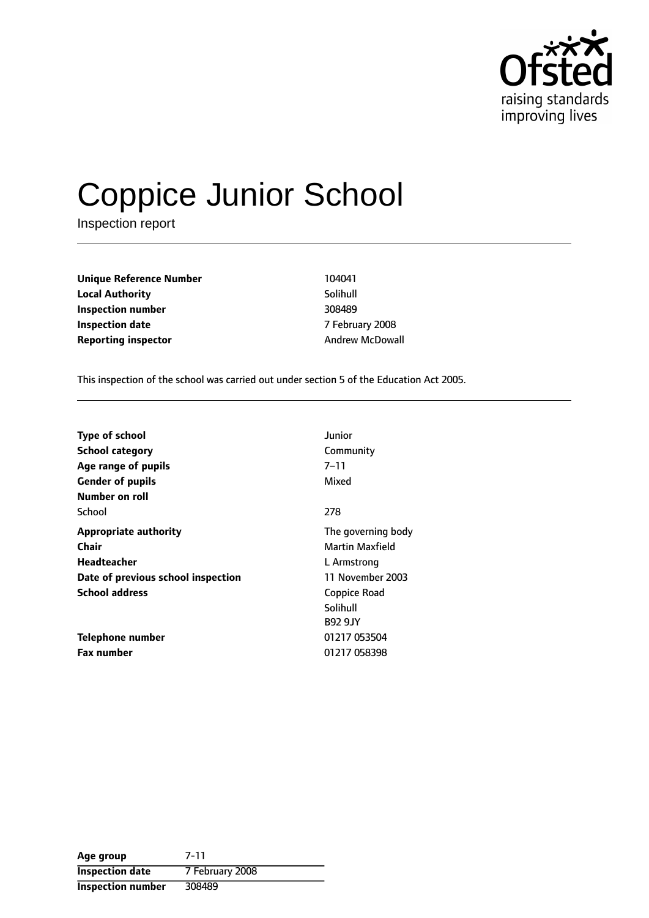

# Coppice Junior School

Inspection report

**Unique Reference Number** 104041 **Local Authority** Solihull **Inspection number** 308489 **Inspection date** 7 February 2008 **Reporting inspector Andrew McDowall** 

This inspection of the school was carried out under section 5 of the Education Act 2005.

| <b>Type of school</b>              | Junior                 |
|------------------------------------|------------------------|
| <b>School category</b>             | Community              |
| Age range of pupils                | $7 - 11$               |
| <b>Gender of pupils</b>            | Mixed                  |
| Number on roll                     |                        |
| School                             | 278                    |
| <b>Appropriate authority</b>       | The governing body     |
| <b>Chair</b>                       | <b>Martin Maxfield</b> |
| <b>Headteacher</b>                 | L Armstrong            |
| Date of previous school inspection | 11 November 2003       |
| <b>School address</b>              | Coppice Road           |
|                                    | Solihull               |
|                                    | <b>B92 9JY</b>         |
| Telephone number                   | 01217 053504           |
| <b>Fax number</b>                  | 01217 058398           |

| Age group                | 7-11            |
|--------------------------|-----------------|
| <b>Inspection date</b>   | 7 February 2008 |
| <b>Inspection number</b> | 308489          |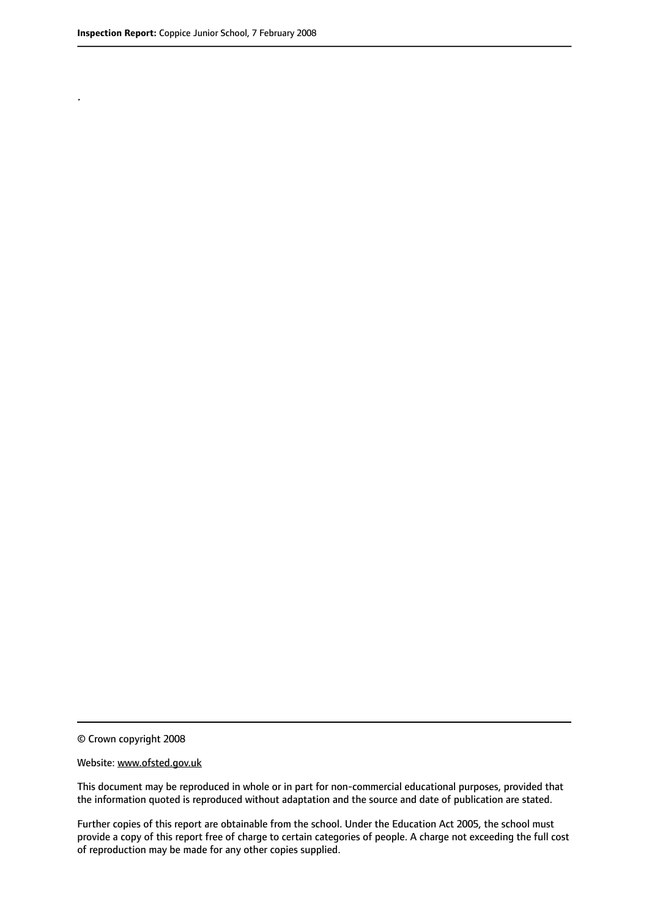.

© Crown copyright 2008

#### Website: www.ofsted.gov.uk

This document may be reproduced in whole or in part for non-commercial educational purposes, provided that the information quoted is reproduced without adaptation and the source and date of publication are stated.

Further copies of this report are obtainable from the school. Under the Education Act 2005, the school must provide a copy of this report free of charge to certain categories of people. A charge not exceeding the full cost of reproduction may be made for any other copies supplied.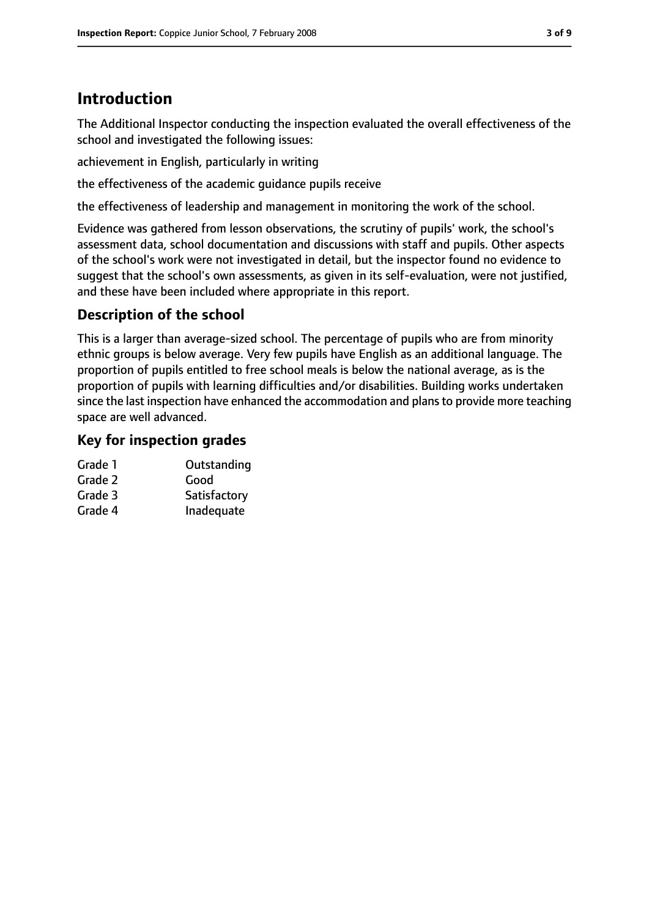# **Introduction**

The Additional Inspector conducting the inspection evaluated the overall effectiveness of the school and investigated the following issues:

achievement in English, particularly in writing

the effectiveness of the academic guidance pupils receive

the effectiveness of leadership and management in monitoring the work of the school.

Evidence was gathered from lesson observations, the scrutiny of pupils' work, the school's assessment data, school documentation and discussions with staff and pupils. Other aspects of the school's work were not investigated in detail, but the inspector found no evidence to suggest that the school's own assessments, as given in its self-evaluation, were not justified, and these have been included where appropriate in this report.

# **Description of the school**

This is a larger than average-sized school. The percentage of pupils who are from minority ethnic groups is below average. Very few pupils have English as an additional language. The proportion of pupils entitled to free school meals is below the national average, as is the proportion of pupils with learning difficulties and/or disabilities. Building works undertaken since the last inspection have enhanced the accommodation and plans to provide more teaching space are well advanced.

## **Key for inspection grades**

| Grade 1 | Outstanding  |
|---------|--------------|
| Grade 2 | Good         |
| Grade 3 | Satisfactory |
| Grade 4 | Inadequate   |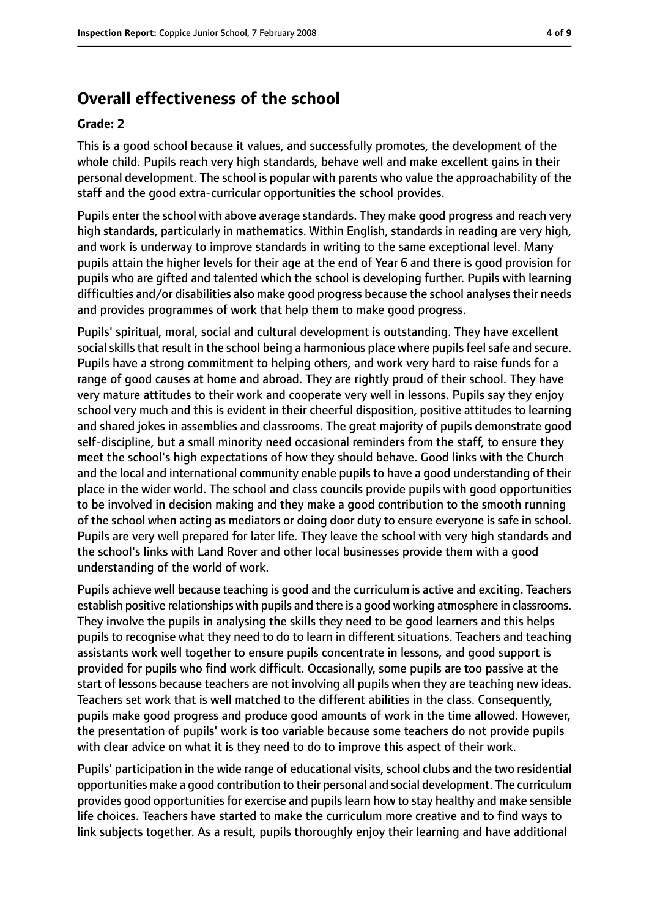# **Overall effectiveness of the school**

#### **Grade: 2**

This is a good school because it values, and successfully promotes, the development of the whole child. Pupils reach very high standards, behave well and make excellent gains in their personal development. The school is popular with parents who value the approachability of the staff and the good extra-curricular opportunities the school provides.

Pupils enter the school with above average standards. They make good progress and reach very high standards, particularly in mathematics. Within English, standards in reading are very high, and work is underway to improve standards in writing to the same exceptional level. Many pupils attain the higher levels for their age at the end of Year 6 and there is good provision for pupils who are gifted and talented which the school is developing further. Pupils with learning difficulties and/or disabilities also make good progress because the school analyses their needs and provides programmes of work that help them to make good progress.

Pupils' spiritual, moral, social and cultural development is outstanding. They have excellent social skills that result in the school being a harmonious place where pupils feel safe and secure. Pupils have a strong commitment to helping others, and work very hard to raise funds for a range of good causes at home and abroad. They are rightly proud of their school. They have very mature attitudes to their work and cooperate very well in lessons. Pupils say they enjoy school very much and this is evident in their cheerful disposition, positive attitudes to learning and shared jokes in assemblies and classrooms. The great majority of pupils demonstrate good self-discipline, but a small minority need occasional reminders from the staff, to ensure they meet the school's high expectations of how they should behave. Good links with the Church and the local and international community enable pupils to have a good understanding of their place in the wider world. The school and class councils provide pupils with good opportunities to be involved in decision making and they make a good contribution to the smooth running of the school when acting as mediators or doing door duty to ensure everyone is safe in school. Pupils are very well prepared for later life. They leave the school with very high standards and the school's links with Land Rover and other local businesses provide them with a good understanding of the world of work.

Pupils achieve well because teaching is good and the curriculum is active and exciting. Teachers establish positive relationships with pupils and there is a good working atmosphere in classrooms. They involve the pupils in analysing the skills they need to be good learners and this helps pupils to recognise what they need to do to learn in different situations. Teachers and teaching assistants work well together to ensure pupils concentrate in lessons, and good support is provided for pupils who find work difficult. Occasionally, some pupils are too passive at the start of lessons because teachers are not involving all pupils when they are teaching new ideas. Teachers set work that is well matched to the different abilities in the class. Consequently, pupils make good progress and produce good amounts of work in the time allowed. However, the presentation of pupils' work is too variable because some teachers do not provide pupils with clear advice on what it is they need to do to improve this aspect of their work.

Pupils' participation in the wide range of educational visits, school clubs and the two residential opportunities make a good contribution to their personal and social development. The curriculum provides good opportunitiesfor exercise and pupilslearn how to stay healthy and make sensible life choices. Teachers have started to make the curriculum more creative and to find ways to link subjects together. As a result, pupils thoroughly enjoy their learning and have additional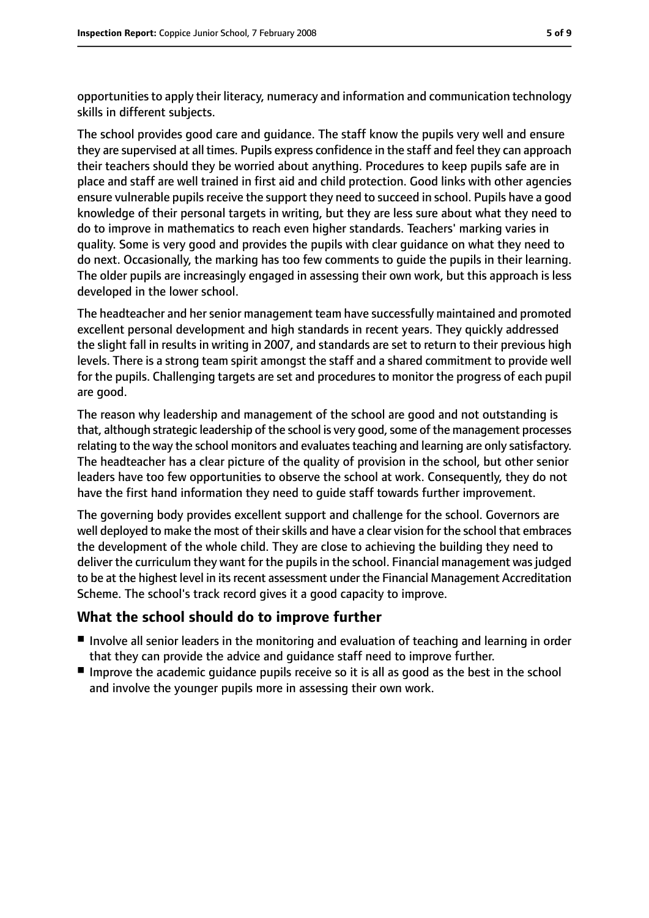opportunitiesto apply their literacy, numeracy and information and communication technology skills in different subjects.

The school provides good care and guidance. The staff know the pupils very well and ensure they are supervised at all times. Pupils express confidence in the staff and feel they can approach their teachers should they be worried about anything. Procedures to keep pupils safe are in place and staff are well trained in first aid and child protection. Good links with other agencies ensure vulnerable pupils receive the support they need to succeed in school. Pupils have a good knowledge of their personal targets in writing, but they are less sure about what they need to do to improve in mathematics to reach even higher standards. Teachers' marking varies in quality. Some is very good and provides the pupils with clear guidance on what they need to do next. Occasionally, the marking has too few comments to guide the pupils in their learning. The older pupils are increasingly engaged in assessing their own work, but this approach is less developed in the lower school.

The headteacher and her senior management team have successfully maintained and promoted excellent personal development and high standards in recent years. They quickly addressed the slight fall in results in writing in 2007, and standards are set to return to their previous high levels. There is a strong team spirit amongst the staff and a shared commitment to provide well for the pupils. Challenging targets are set and procedures to monitor the progress of each pupil are good.

The reason why leadership and management of the school are good and not outstanding is that, although strategic leadership of the school is very good, some of the management processes relating to the way the school monitors and evaluates teaching and learning are only satisfactory. The headteacher has a clear picture of the quality of provision in the school, but other senior leaders have too few opportunities to observe the school at work. Consequently, they do not have the first hand information they need to guide staff towards further improvement.

The governing body provides excellent support and challenge for the school. Governors are well deployed to make the most of their skills and have a clear vision for the school that embraces the development of the whole child. They are close to achieving the building they need to deliver the curriculum they want for the pupils in the school. Financial management was judged to be at the highest level in its recent assessment under the Financial Management Accreditation Scheme. The school's track record gives it a good capacity to improve.

## **What the school should do to improve further**

- Involve all senior leaders in the monitoring and evaluation of teaching and learning in order that they can provide the advice and guidance staff need to improve further.
- Improve the academic guidance pupils receive so it is all as good as the best in the school and involve the younger pupils more in assessing their own work.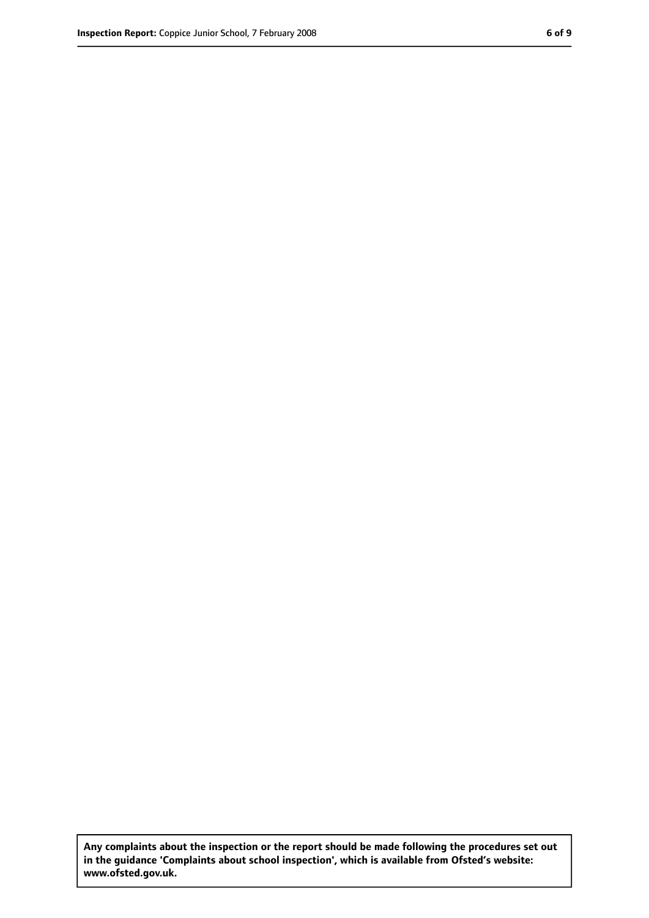**Any complaints about the inspection or the report should be made following the procedures set out in the guidance 'Complaints about school inspection', which is available from Ofsted's website: www.ofsted.gov.uk.**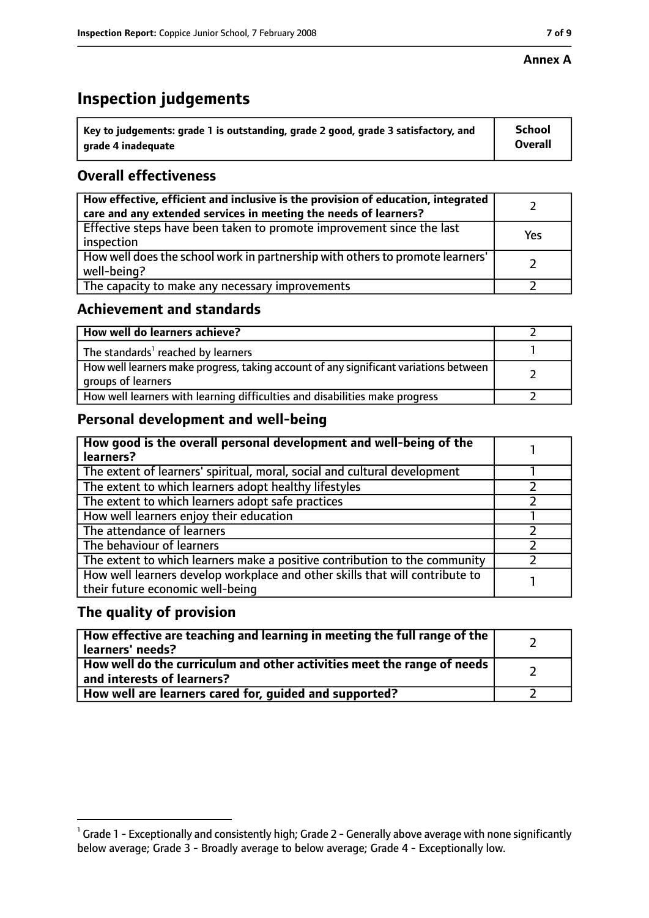#### **Annex A**

# **Inspection judgements**

| $^{\circ}$ Key to judgements: grade 1 is outstanding, grade 2 good, grade 3 satisfactory, and | <b>School</b>  |
|-----------------------------------------------------------------------------------------------|----------------|
| arade 4 inadeguate                                                                            | <b>Overall</b> |

## **Overall effectiveness**

| How effective, efficient and inclusive is the provision of education, integrated<br>care and any extended services in meeting the needs of learners? |     |
|------------------------------------------------------------------------------------------------------------------------------------------------------|-----|
| Effective steps have been taken to promote improvement since the last<br>inspection                                                                  | Yes |
| How well does the school work in partnership with others to promote learners'<br>well-being?                                                         |     |
| The capacity to make any necessary improvements                                                                                                      |     |

## **Achievement and standards**

| How well do learners achieve?                                                                               |  |
|-------------------------------------------------------------------------------------------------------------|--|
| The standards <sup>1</sup> reached by learners                                                              |  |
| How well learners make progress, taking account of any significant variations between<br>groups of learners |  |
| How well learners with learning difficulties and disabilities make progress                                 |  |

# **Personal development and well-being**

| How good is the overall personal development and well-being of the<br>learners?                                  |  |
|------------------------------------------------------------------------------------------------------------------|--|
| The extent of learners' spiritual, moral, social and cultural development                                        |  |
| The extent to which learners adopt healthy lifestyles                                                            |  |
| The extent to which learners adopt safe practices                                                                |  |
| How well learners enjoy their education                                                                          |  |
| The attendance of learners                                                                                       |  |
| The behaviour of learners                                                                                        |  |
| The extent to which learners make a positive contribution to the community                                       |  |
| How well learners develop workplace and other skills that will contribute to<br>their future economic well-being |  |

#### **The quality of provision**

| $\mid$ How effective are teaching and learning in meeting the full range of the $\mid$<br>learners' needs? |  |
|------------------------------------------------------------------------------------------------------------|--|
| How well do the curriculum and other activities meet the range of needs  <br>and interests of learners?    |  |
| How well are learners cared for, guided and supported?                                                     |  |

 $^1$  Grade 1 - Exceptionally and consistently high; Grade 2 - Generally above average with none significantly below average; Grade 3 - Broadly average to below average; Grade 4 - Exceptionally low.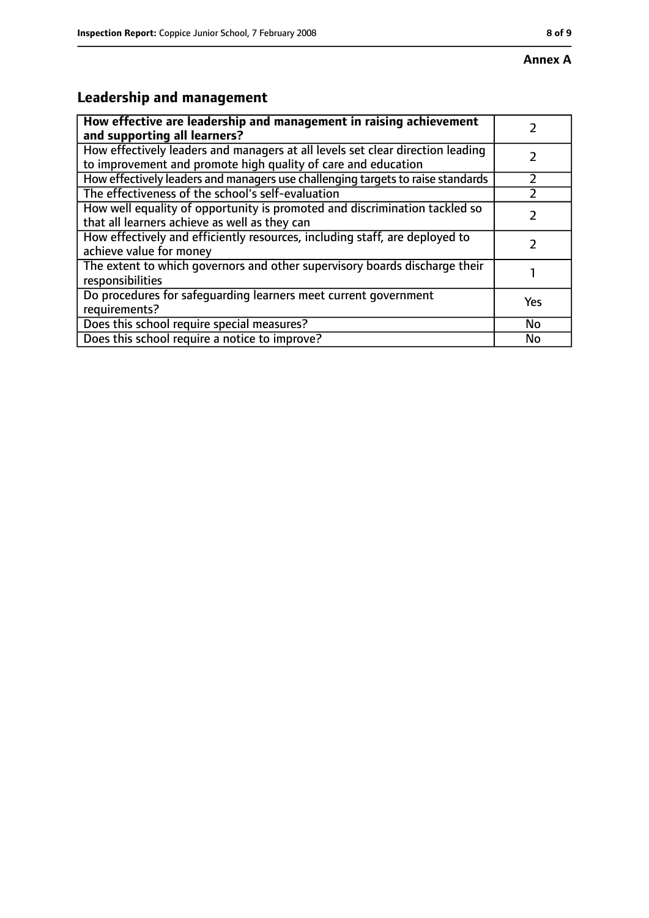# **Leadership and management**

| How effective are leadership and management in raising achievement<br>and supporting all learners?                                              |     |
|-------------------------------------------------------------------------------------------------------------------------------------------------|-----|
| How effectively leaders and managers at all levels set clear direction leading<br>to improvement and promote high quality of care and education |     |
| How effectively leaders and managers use challenging targets to raise standards                                                                 |     |
| The effectiveness of the school's self-evaluation                                                                                               |     |
| How well equality of opportunity is promoted and discrimination tackled so<br>that all learners achieve as well as they can                     |     |
| How effectively and efficiently resources, including staff, are deployed to<br>achieve value for money                                          |     |
| The extent to which governors and other supervisory boards discharge their<br>responsibilities                                                  |     |
| Do procedures for safequarding learners meet current government<br>requirements?                                                                | Yes |
| Does this school require special measures?                                                                                                      | No  |
| Does this school require a notice to improve?                                                                                                   | No  |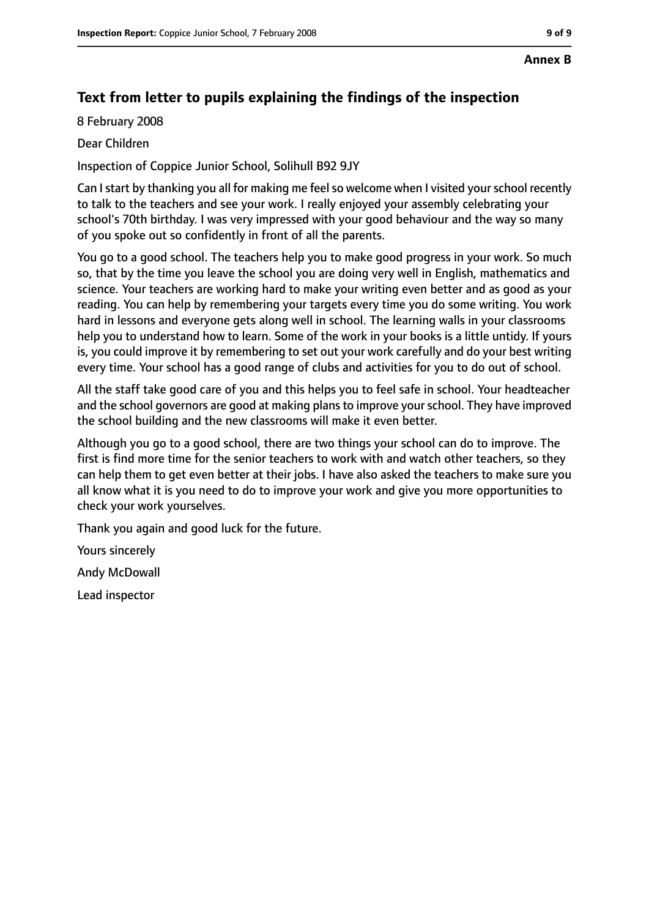# **Text from letter to pupils explaining the findings of the inspection**

8 February 2008

Dear Children

Inspection of Coppice Junior School, Solihull B92 9JY

Can I start by thanking you all for making me feel so welcome when I visited your school recently to talk to the teachers and see your work. I really enjoyed your assembly celebrating your school's 70th birthday. I was very impressed with your good behaviour and the way so many of you spoke out so confidently in front of all the parents.

You go to a good school. The teachers help you to make good progress in your work. So much so, that by the time you leave the school you are doing very well in English, mathematics and science. Your teachers are working hard to make your writing even better and as good as your reading. You can help by remembering your targets every time you do some writing. You work hard in lessons and everyone gets along well in school. The learning walls in your classrooms help you to understand how to learn. Some of the work in your books is a little untidy. If yours is, you could improve it by remembering to set out your work carefully and do your best writing every time. Your school has a good range of clubs and activities for you to do out of school.

All the staff take good care of you and this helps you to feel safe in school. Your headteacher and the school governors are good at making plans to improve your school. They have improved the school building and the new classrooms will make it even better.

Although you go to a good school, there are two things your school can do to improve. The first is find more time for the senior teachers to work with and watch other teachers, so they can help them to get even better at their jobs. I have also asked the teachers to make sure you all know what it is you need to do to improve your work and give you more opportunities to check your work yourselves.

Thank you again and good luck for the future.

Yours sincerely

Andy McDowall

Lead inspector